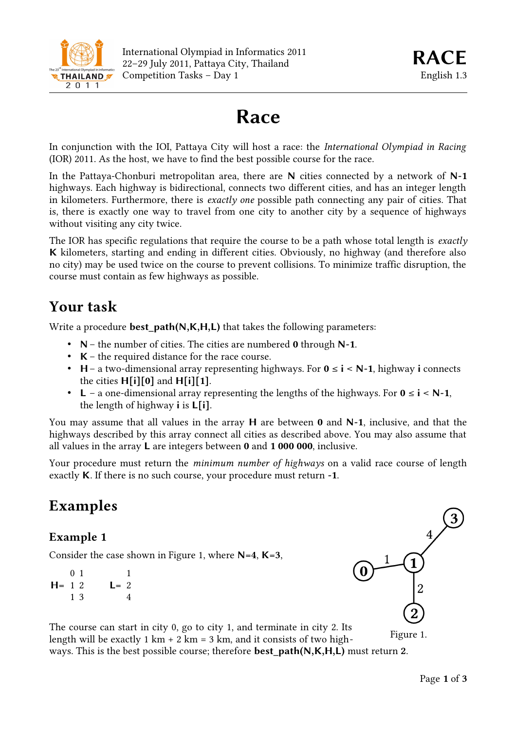

# **Race**

In conjunction with the IOI, Pattaya City will host a race: the *International Olympiad in Racing* (IOR) 2011. As the host, we have to find the best possible course for the race.

In the Pattaya-Chonburi metropolitan area, there are **N** cities connected by a network of **N-1** highways. Each highway is bidirectional, connects two different cities, and has an integer length in kilometers. Furthermore, there is *exactly one* possible path connecting any pair of cities. That is, there is exactly one way to travel from one city to another city by a sequence of highways without visiting any city twice.

The IOR has specific regulations that require the course to be a path whose total length is *exactly* **K** kilometers, starting and ending in different cities. Obviously, no highway (and therefore also no city) may be used twice on the course to prevent collisions. To minimize traffic disruption, the course must contain as few highways as possible.

# **Your task**

Write a procedure **best path(N,K,H,L)** that takes the following parameters:

- **N** the number of cities. The cities are numbered **0** through **N-1**.
- **K** the required distance for the race course.
- **H** a two-dimensional array representing highways. For **0** ≤ **i** < **N-1**, highway **i** connects the cities **H[i][0]** and **H[i][1]**.
- **L** a one-dimensional array representing the lengths of the highways. For **0** ≤ **i** < **N-1**, the length of highway **i** is **L[i]**.

You may assume that all values in the array **H** are between **0** and **N-1**, inclusive, and that the highways described by this array connect all cities as described above. You may also assume that all values in the array **L** are integers between **0** and **1 000 000**, inclusive.

Your procedure must return the *minimum number of highways* on a valid race course of length exactly **K**. If there is no such course, your procedure must return **-1**.

# **Examples**

#### **Example 1**

Consider the case shown in Figure 1, where **N=4**, **K=3**,

**H=** 1 2 0 1 1 3 **L=** 2 1 4



The course can start in city 0, go to city 1, and terminate in city 2. Its length will be exactly 1 km  $+ 2$  km  $= 3$  km, and it consists of two highways. This is the best possible course; therefore **best\_path(N,K,H,L)** must return **2**. Figure 1.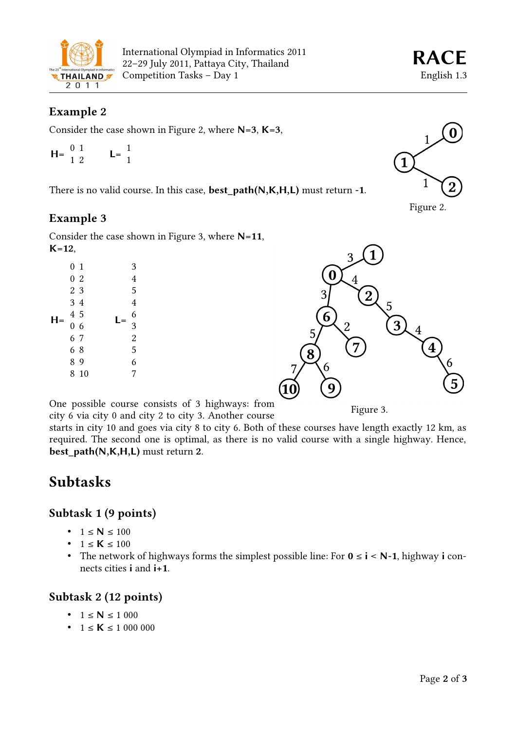

## **Example 2**

Consider the case shown in Figure 2, where **N=3**, **K=3**,

$$
H = \begin{array}{cc} 0 & 1 \\ 1 & 2 \end{array} \qquad L = \begin{array}{c} 1 \\ 1 \end{array}
$$

There is no valid course. In this case, **best\_path(N,K,H,L)** must return **-1**.

#### **Example 3**

Consider the case shown in Figure 3, where **N=11**, **K=12**,

| н | 0 <sub>1</sub> |                |  |  | 3              |
|---|----------------|----------------|--|--|----------------|
|   |                | 02             |  |  | $\overline{4}$ |
|   |                | 2 3            |  |  | 5              |
|   |                | 3 4            |  |  | $\overline{4}$ |
|   |                | 4 5            |  |  | 6              |
|   |                | 0 <sub>6</sub> |  |  | 3              |
|   |                | 6 7            |  |  | $\overline{c}$ |
|   |                | 68             |  |  | 5              |
|   |                | 89             |  |  | 6              |
|   |                | 8 10           |  |  | 7              |
|   |                |                |  |  |                |

One possible course consists of 3 highways: from city 6 via city 0 and city 2 to city 3. Another course

starts in city 10 and goes via city 8 to city 6. Both of these courses have length exactly 12 km, as required. The second one is optimal, as there is no valid course with a single highway. Hence, **best\_path(N,K,H,L)** must return **2**.

8

# **Subtasks**

#### **Subtask 1 (9 points)**

- $1 \le N \le 100$
- $1 \le K \le 100$
- The network of highways forms the simplest possible line: For **0** ≤ **i** < **N-1**, highway **i** connects cities **i** and **i+1**.

## **Subtask 2 (12 points)**

- $1 \le N \le 1000$
- $1 \le K \le 1000000$



 $\overline{3}$ 

 $\frac{4}{3}$ 



Figure 2.